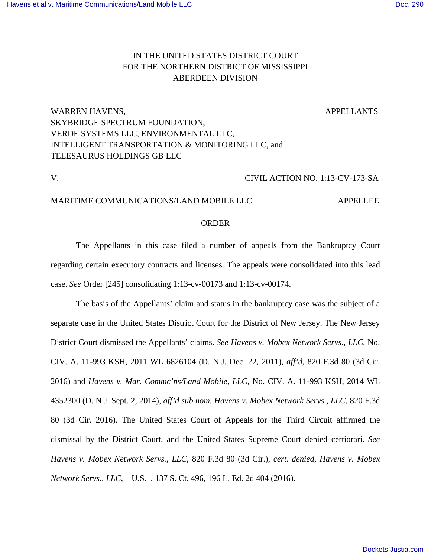# IN THE UNITED STATES DISTRICT COURT FOR THE NORTHERN DISTRICT OF MISSISSIPPI ABERDEEN DIVISION

# WARREN HAVENS, APPELLANTS SKYBRIDGE SPECTRUM FOUNDATION, VERDE SYSTEMS LLC, ENVIRONMENTAL LLC, INTELLIGENT TRANSPORTATION & MONITORING LLC, and TELESAURUS HOLDINGS GB LLC

### V. CIVIL ACTION NO. 1:13-CV-173-SA

### MARITIME COMMUNICATIONS/LAND MOBILE LLC APPELLEE

#### ORDER

The Appellants in this case filed a number of appeals from the Bankruptcy Court regarding certain executory contracts and licenses. The appeals were consolidated into this lead case. *See* Order [245] consolidating 1:13-cv-00173 and 1:13-cv-00174.

The basis of the Appellants' claim and status in the bankruptcy case was the subject of a separate case in the United States District Court for the District of New Jersey. The New Jersey District Court dismissed the Appellants' claims. *See Havens v. Mobex Network Servs., LLC*, No. CIV. A. 11-993 KSH, 2011 WL 6826104 (D. N.J. Dec. 22, 2011), *aff'd*, 820 F.3d 80 (3d Cir. 2016) and *Havens v. Mar. Commc'ns/Land Mobile, LLC*, No. CIV. A. 11-993 KSH, 2014 WL 4352300 (D. N.J. Sept. 2, 2014), *aff'd sub nom. Havens v. Mobex Network Servs., LLC*, 820 F.3d 80 (3d Cir. 2016). The United States Court of Appeals for the Third Circuit affirmed the dismissal by the District Court, and the United States Supreme Court denied certiorari. *See Havens v. Mobex Network Servs., LLC*, 820 F.3d 80 (3d Cir.), *cert. denied*, *Havens v. Mobex Network Servs., LLC*, – U.S.–, 137 S. Ct. 496, 196 L. Ed. 2d 404 (2016).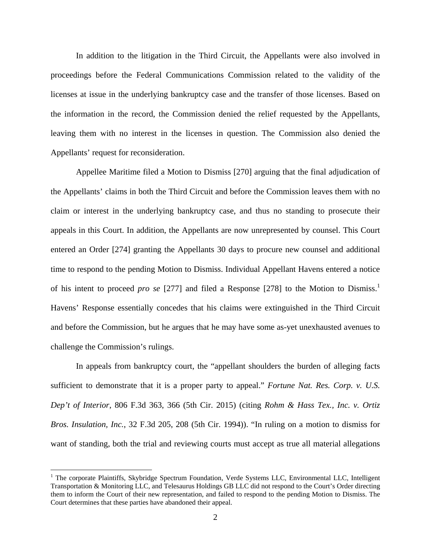In addition to the litigation in the Third Circuit, the Appellants were also involved in proceedings before the Federal Communications Commission related to the validity of the licenses at issue in the underlying bankruptcy case and the transfer of those licenses. Based on the information in the record, the Commission denied the relief requested by the Appellants, leaving them with no interest in the licenses in question. The Commission also denied the Appellants' request for reconsideration.

Appellee Maritime filed a Motion to Dismiss [270] arguing that the final adjudication of the Appellants' claims in both the Third Circuit and before the Commission leaves them with no claim or interest in the underlying bankruptcy case, and thus no standing to prosecute their appeals in this Court. In addition, the Appellants are now unrepresented by counsel. This Court entered an Order [274] granting the Appellants 30 days to procure new counsel and additional time to respond to the pending Motion to Dismiss. Individual Appellant Havens entered a notice of his intent to proceed *pro se* [277] and filed a Response [278] to the Motion to Dismiss.<sup>1</sup> Havens' Response essentially concedes that his claims were extinguished in the Third Circuit and before the Commission, but he argues that he may have some as-yet unexhausted avenues to challenge the Commission's rulings.

In appeals from bankruptcy court, the "appellant shoulders the burden of alleging facts sufficient to demonstrate that it is a proper party to appeal." *Fortune Nat. Res. Corp. v. U.S. Dep't of Interior*, 806 F.3d 363, 366 (5th Cir. 2015) (citing *Rohm & Hass Tex., Inc. v. Ortiz Bros. Insulation, Inc.*, 32 F.3d 205, 208 (5th Cir. 1994)). "In ruling on a motion to dismiss for want of standing, both the trial and reviewing courts must accept as true all material allegations

 $\overline{a}$ 

<sup>&</sup>lt;sup>1</sup> The corporate Plaintiffs, Skybridge Spectrum Foundation, Verde Systems LLC, Environmental LLC, Intelligent Transportation & Monitoring LLC, and Telesaurus Holdings GB LLC did not respond to the Court's Order directing them to inform the Court of their new representation, and failed to respond to the pending Motion to Dismiss. The Court determines that these parties have abandoned their appeal.